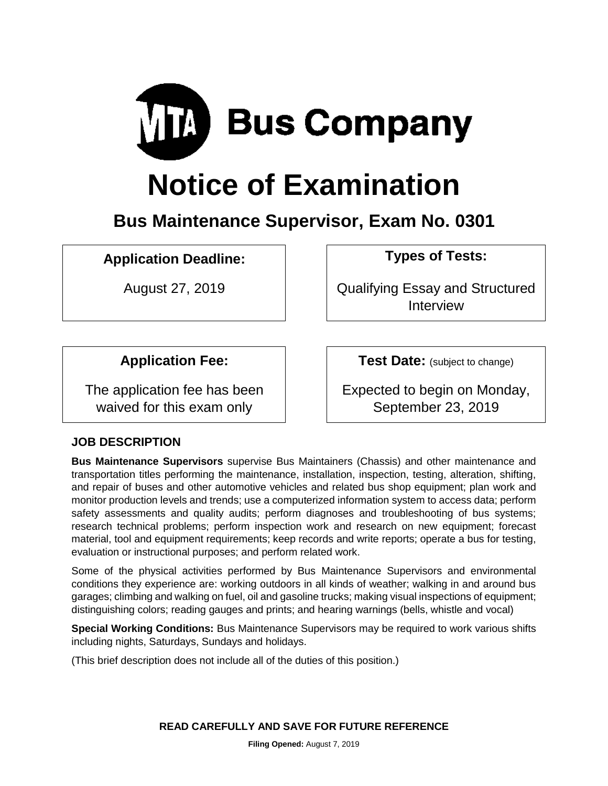

# **Notice of Examination**

# **Bus Maintenance Supervisor, Exam No. 0301**

**Application Deadline: Types of Tests:** 

August 27, 2019 Qualifying Essay and Structured Interview

The application fee has been waived for this exam only

**Application Fee: Test Date:** (subject to change)

Expected to begin on Monday, September 23, 2019

# **JOB DESCRIPTION**

**Bus Maintenance Supervisors** supervise Bus Maintainers (Chassis) and other maintenance and transportation titles performing the maintenance, installation, inspection, testing, alteration, shifting, and repair of buses and other automotive vehicles and related bus shop equipment; plan work and monitor production levels and trends; use a computerized information system to access data; perform safety assessments and quality audits; perform diagnoses and troubleshooting of bus systems; research technical problems; perform inspection work and research on new equipment; forecast material, tool and equipment requirements; keep records and write reports; operate a bus for testing, evaluation or instructional purposes; and perform related work.

Some of the physical activities performed by Bus Maintenance Supervisors and environmental conditions they experience are: working outdoors in all kinds of weather; walking in and around bus garages; climbing and walking on fuel, oil and gasoline trucks; making visual inspections of equipment; distinguishing colors; reading gauges and prints; and hearing warnings (bells, whistle and vocal)

**Special Working Conditions:** Bus Maintenance Supervisors may be required to work various shifts including nights, Saturdays, Sundays and holidays.

(This brief description does not include all of the duties of this position.)

**READ CAREFULLY AND SAVE FOR FUTURE REFERENCE**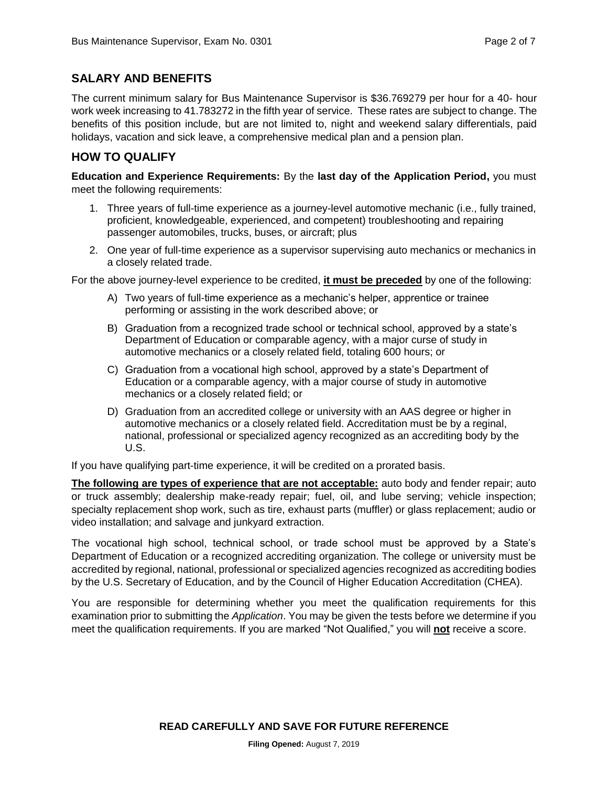# **SALARY AND BENEFITS**

The current minimum salary for Bus Maintenance Supervisor is \$36.769279 per hour for a 40- hour work week increasing to 41.783272 in the fifth year of service. These rates are subject to change. The benefits of this position include, but are not limited to, night and weekend salary differentials, paid holidays, vacation and sick leave, a comprehensive medical plan and a pension plan.

# **HOW TO QUALIFY**

**Education and Experience Requirements:** By the **last day of the Application Period,** you must meet the following requirements:

- 1. Three years of full-time experience as a journey-level automotive mechanic (i.e., fully trained, proficient, knowledgeable, experienced, and competent) troubleshooting and repairing passenger automobiles, trucks, buses, or aircraft; plus
- 2. One year of full-time experience as a supervisor supervising auto mechanics or mechanics in a closely related trade.

For the above journey-level experience to be credited, **it must be preceded** by one of the following:

- A) Two years of full-time experience as a mechanic's helper, apprentice or trainee performing or assisting in the work described above; or
- B) Graduation from a recognized trade school or technical school, approved by a state's Department of Education or comparable agency, with a major curse of study in automotive mechanics or a closely related field, totaling 600 hours; or
- C) Graduation from a vocational high school, approved by a state's Department of Education or a comparable agency, with a major course of study in automotive mechanics or a closely related field; or
- D) Graduation from an accredited college or university with an AAS degree or higher in automotive mechanics or a closely related field. Accreditation must be by a reginal, national, professional or specialized agency recognized as an accrediting body by the U.S.

If you have qualifying part-time experience, it will be credited on a prorated basis.

**The following are types of experience that are not acceptable:** auto body and fender repair; auto or truck assembly; dealership make-ready repair; fuel, oil, and lube serving; vehicle inspection; specialty replacement shop work, such as tire, exhaust parts (muffler) or glass replacement; audio or video installation; and salvage and junkyard extraction.

The vocational high school, technical school, or trade school must be approved by a State's Department of Education or a recognized accrediting organization. The college or university must be accredited by regional, national, professional or specialized agencies recognized as accrediting bodies by the U.S. Secretary of Education, and by the Council of Higher Education Accreditation (CHEA).

You are responsible for determining whether you meet the qualification requirements for this examination prior to submitting the *Application*. You may be given the tests before we determine if you meet the qualification requirements. If you are marked "Not Qualified," you will **not** receive a score.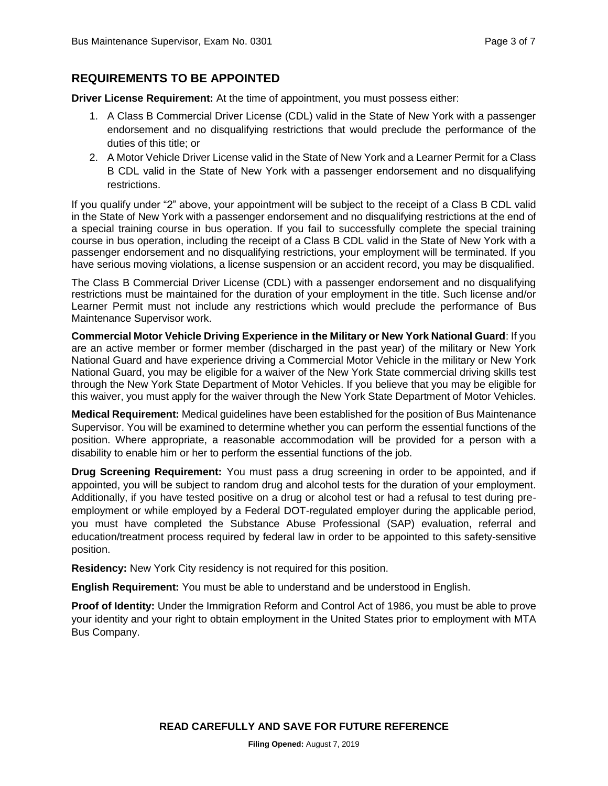# **REQUIREMENTS TO BE APPOINTED**

**Driver License Requirement:** At the time of appointment, you must possess either:

- 1. A Class B Commercial Driver License (CDL) valid in the State of New York with a passenger endorsement and no disqualifying restrictions that would preclude the performance of the duties of this title; or
- 2. A Motor Vehicle Driver License valid in the State of New York and a Learner Permit for a Class B CDL valid in the State of New York with a passenger endorsement and no disqualifying restrictions.

If you qualify under "2" above, your appointment will be subject to the receipt of a Class B CDL valid in the State of New York with a passenger endorsement and no disqualifying restrictions at the end of a special training course in bus operation. If you fail to successfully complete the special training course in bus operation, including the receipt of a Class B CDL valid in the State of New York with a passenger endorsement and no disqualifying restrictions, your employment will be terminated. If you have serious moving violations, a license suspension or an accident record, you may be disqualified.

The Class B Commercial Driver License (CDL) with a passenger endorsement and no disqualifying restrictions must be maintained for the duration of your employment in the title. Such license and/or Learner Permit must not include any restrictions which would preclude the performance of Bus Maintenance Supervisor work.

**Commercial Motor Vehicle Driving Experience in the Military or New York National Guard**: If you are an active member or former member (discharged in the past year) of the military or New York National Guard and have experience driving a Commercial Motor Vehicle in the military or New York National Guard, you may be eligible for a waiver of the New York State commercial driving skills test through the New York State Department of Motor Vehicles. If you believe that you may be eligible for this waiver, you must apply for the waiver through the New York State Department of Motor Vehicles.

**Medical Requirement:** Medical guidelines have been established for the position of Bus Maintenance Supervisor. You will be examined to determine whether you can perform the essential functions of the position. Where appropriate, a reasonable accommodation will be provided for a person with a disability to enable him or her to perform the essential functions of the job.

**Drug Screening Requirement:** You must pass a drug screening in order to be appointed, and if appointed, you will be subject to random drug and alcohol tests for the duration of your employment. Additionally, if you have tested positive on a drug or alcohol test or had a refusal to test during preemployment or while employed by a Federal DOT-regulated employer during the applicable period, you must have completed the Substance Abuse Professional (SAP) evaluation, referral and education/treatment process required by federal law in order to be appointed to this safety-sensitive position.

**Residency:** New York City residency is not required for this position.

**English Requirement:** You must be able to understand and be understood in English.

**Proof of Identity:** Under the Immigration Reform and Control Act of 1986, you must be able to prove your identity and your right to obtain employment in the United States prior to employment with MTA Bus Company.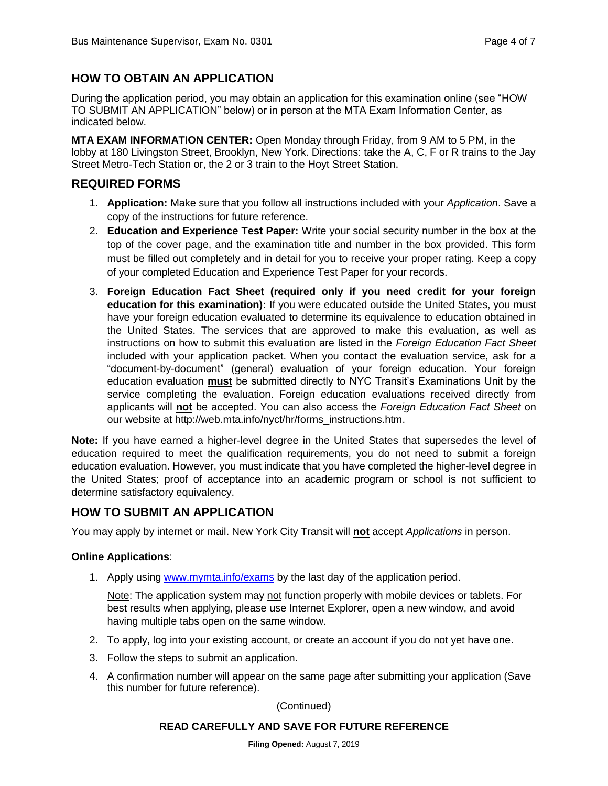# **HOW TO OBTAIN AN APPLICATION**

During the application period, you may obtain an application for this examination online (see "HOW TO SUBMIT AN APPLICATION" below) or in person at the MTA Exam Information Center, as indicated below.

**MTA EXAM INFORMATION CENTER:** Open Monday through Friday, from 9 AM to 5 PM, in the lobby at 180 Livingston Street, Brooklyn, New York. Directions: take the A, C, F or R trains to the Jay Street Metro-Tech Station or, the 2 or 3 train to the Hoyt Street Station.

### **REQUIRED FORMS**

- 1. **Application:** Make sure that you follow all instructions included with your *Application*. Save a copy of the instructions for future reference.
- 2. **Education and Experience Test Paper:** Write your social security number in the box at the top of the cover page, and the examination title and number in the box provided. This form must be filled out completely and in detail for you to receive your proper rating. Keep a copy of your completed Education and Experience Test Paper for your records.
- 3. **Foreign Education Fact Sheet (required only if you need credit for your foreign education for this examination):** If you were educated outside the United States, you must have your foreign education evaluated to determine its equivalence to education obtained in the United States. The services that are approved to make this evaluation, as well as instructions on how to submit this evaluation are listed in the *Foreign Education Fact Sheet* included with your application packet. When you contact the evaluation service, ask for a "document-by-document" (general) evaluation of your foreign education. Your foreign education evaluation **must** be submitted directly to NYC Transit's Examinations Unit by the service completing the evaluation. Foreign education evaluations received directly from applicants will **not** be accepted. You can also access the *Foreign Education Fact Sheet* on our website at http://web.mta.info/nyct/hr/forms\_instructions.htm.

**Note:** If you have earned a higher-level degree in the United States that supersedes the level of education required to meet the qualification requirements, you do not need to submit a foreign education evaluation. However, you must indicate that you have completed the higher-level degree in the United States; proof of acceptance into an academic program or school is not sufficient to determine satisfactory equivalency.

# **HOW TO SUBMIT AN APPLICATION**

You may apply by internet or mail. New York City Transit will **not** accept *Applications* in person.

#### **Online Applications**:

1. Apply using [www.mymta.info/exams](http://www.mymta.info/exams) by the last day of the application period.

Note: The application system may not function properly with mobile devices or tablets. For best results when applying, please use Internet Explorer, open a new window, and avoid having multiple tabs open on the same window.

- 2. To apply, log into your existing account, or create an account if you do not yet have one.
- 3. Follow the steps to submit an application.
- 4. A confirmation number will appear on the same page after submitting your application (Save this number for future reference).

(Continued)

#### **READ CAREFULLY AND SAVE FOR FUTURE REFERENCE**

**Filing Opened:** August 7, 2019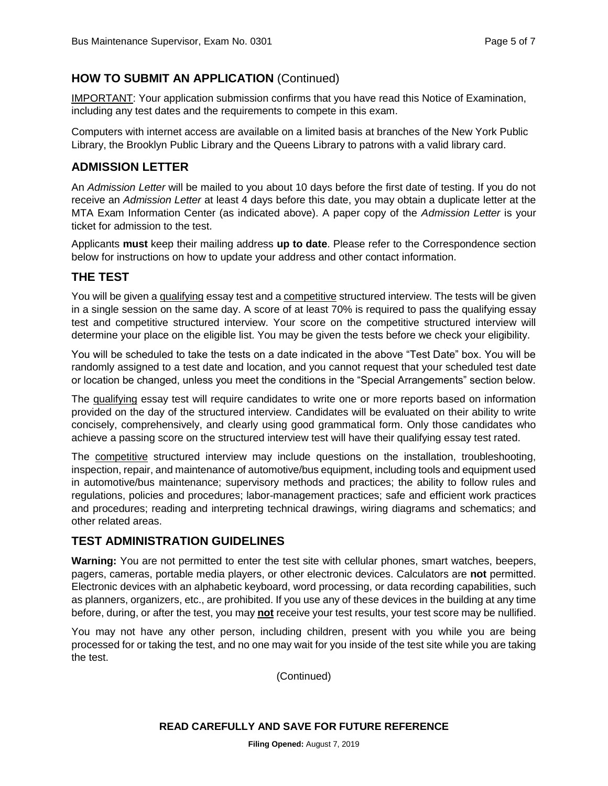# **HOW TO SUBMIT AN APPLICATION** (Continued)

IMPORTANT: Your application submission confirms that you have read this Notice of Examination, including any test dates and the requirements to compete in this exam.

Computers with internet access are available on a limited basis at branches of the New York Public Library, the Brooklyn Public Library and the Queens Library to patrons with a valid library card.

# **ADMISSION LETTER**

An *Admission Letter* will be mailed to you about 10 days before the first date of testing. If you do not receive an *Admission Letter* at least 4 days before this date, you may obtain a duplicate letter at the MTA Exam Information Center (as indicated above). A paper copy of the *Admission Letter* is your ticket for admission to the test.

Applicants **must** keep their mailing address **up to date**. Please refer to the Correspondence section below for instructions on how to update your address and other contact information.

# **THE TEST**

You will be given a *qualifying* essay test and a *competitive* structured interview. The tests will be given in a single session on the same day. A score of at least 70% is required to pass the qualifying essay test and competitive structured interview. Your score on the competitive structured interview will determine your place on the eligible list. You may be given the tests before we check your eligibility.

You will be scheduled to take the tests on a date indicated in the above "Test Date" box. You will be randomly assigned to a test date and location, and you cannot request that your scheduled test date or location be changed, unless you meet the conditions in the "Special Arrangements" section below.

The qualifying essay test will require candidates to write one or more reports based on information provided on the day of the structured interview. Candidates will be evaluated on their ability to write concisely, comprehensively, and clearly using good grammatical form. Only those candidates who achieve a passing score on the structured interview test will have their qualifying essay test rated.

The competitive structured interview may include questions on the installation, troubleshooting, inspection, repair, and maintenance of automotive/bus equipment, including tools and equipment used in automotive/bus maintenance; supervisory methods and practices; the ability to follow rules and regulations, policies and procedures; labor-management practices; safe and efficient work practices and procedures; reading and interpreting technical drawings, wiring diagrams and schematics; and other related areas.

# **TEST ADMINISTRATION GUIDELINES**

**Warning:** You are not permitted to enter the test site with cellular phones, smart watches, beepers, pagers, cameras, portable media players, or other electronic devices. Calculators are **not** permitted. Electronic devices with an alphabetic keyboard, word processing, or data recording capabilities, such as planners, organizers, etc., are prohibited. If you use any of these devices in the building at any time before, during, or after the test, you may **not** receive your test results, your test score may be nullified.

You may not have any other person, including children, present with you while you are being processed for or taking the test, and no one may wait for you inside of the test site while you are taking the test.

(Continued)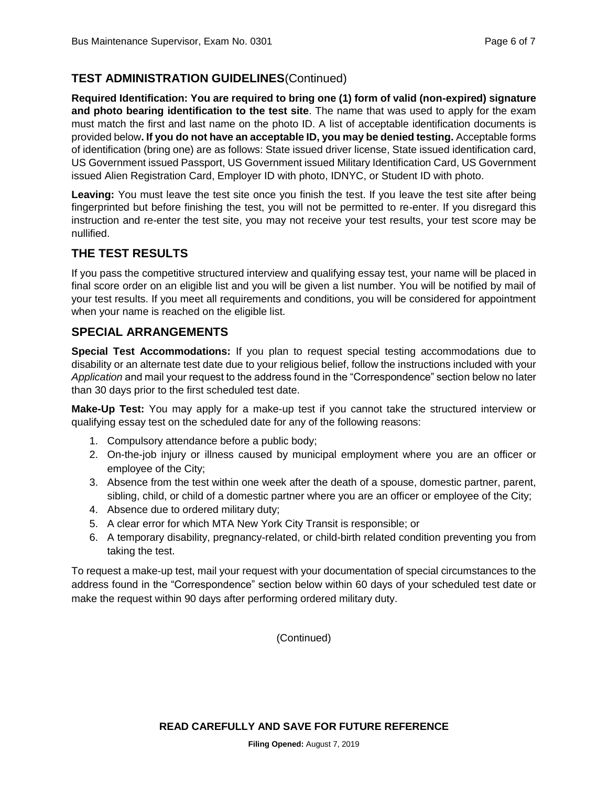# **TEST ADMINISTRATION GUIDELINES**(Continued)

**Required Identification: You are required to bring one (1) form of valid (non-expired) signature and photo bearing identification to the test site**. The name that was used to apply for the exam must match the first and last name on the photo ID. A list of acceptable identification documents is provided below**. If you do not have an acceptable ID, you may be denied testing.** Acceptable forms of identification (bring one) are as follows: State issued driver license, State issued identification card, US Government issued Passport, US Government issued Military Identification Card, US Government issued Alien Registration Card, Employer ID with photo, IDNYC, or Student ID with photo.

Leaving: You must leave the test site once you finish the test. If you leave the test site after being fingerprinted but before finishing the test, you will not be permitted to re-enter. If you disregard this instruction and re-enter the test site, you may not receive your test results, your test score may be nullified.

# **THE TEST RESULTS**

If you pass the competitive structured interview and qualifying essay test, your name will be placed in final score order on an eligible list and you will be given a list number. You will be notified by mail of your test results. If you meet all requirements and conditions, you will be considered for appointment when your name is reached on the eligible list.

# **SPECIAL ARRANGEMENTS**

**Special Test Accommodations:** If you plan to request special testing accommodations due to disability or an alternate test date due to your religious belief, follow the instructions included with your *Application* and mail your request to the address found in the "Correspondence" section below no later than 30 days prior to the first scheduled test date.

**Make-Up Test:** You may apply for a make-up test if you cannot take the structured interview or qualifying essay test on the scheduled date for any of the following reasons:

- 1. Compulsory attendance before a public body;
- 2. On-the-job injury or illness caused by municipal employment where you are an officer or employee of the City;
- 3. Absence from the test within one week after the death of a spouse, domestic partner, parent, sibling, child, or child of a domestic partner where you are an officer or employee of the City;
- 4. Absence due to ordered military duty;
- 5. A clear error for which MTA New York City Transit is responsible; or
- 6. A temporary disability, pregnancy-related, or child-birth related condition preventing you from taking the test.

To request a make-up test, mail your request with your documentation of special circumstances to the address found in the "Correspondence" section below within 60 days of your scheduled test date or make the request within 90 days after performing ordered military duty.

(Continued)

**READ CAREFULLY AND SAVE FOR FUTURE REFERENCE**